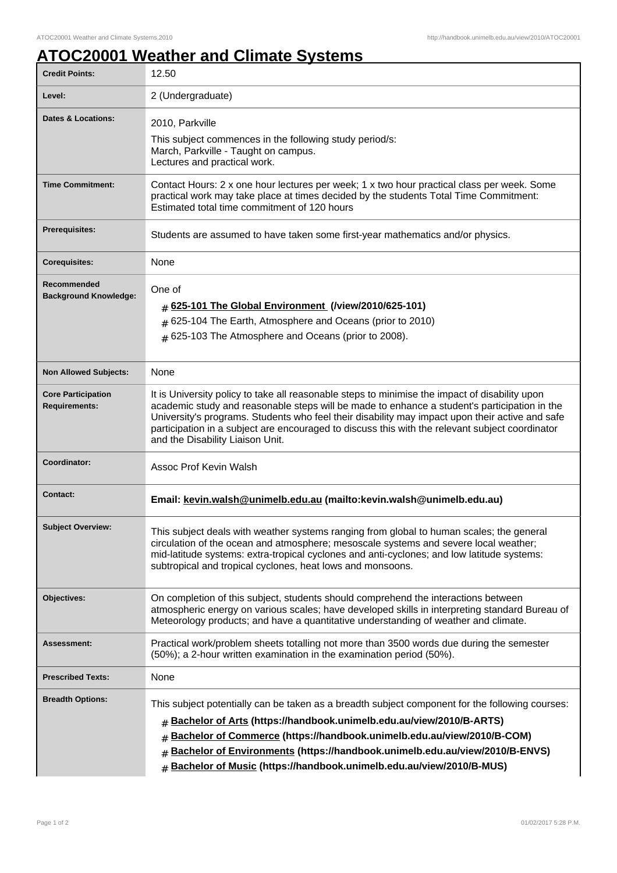## **ATOC20001 Weather and Climate Systems**

| <b>Credit Points:</b>                             | 12.50                                                                                                                                                                                                                                                                                                                                                                                                                                    |
|---------------------------------------------------|------------------------------------------------------------------------------------------------------------------------------------------------------------------------------------------------------------------------------------------------------------------------------------------------------------------------------------------------------------------------------------------------------------------------------------------|
| Level:                                            | 2 (Undergraduate)                                                                                                                                                                                                                                                                                                                                                                                                                        |
| <b>Dates &amp; Locations:</b>                     | 2010, Parkville<br>This subject commences in the following study period/s:<br>March, Parkville - Taught on campus.<br>Lectures and practical work.                                                                                                                                                                                                                                                                                       |
| <b>Time Commitment:</b>                           | Contact Hours: 2 x one hour lectures per week; 1 x two hour practical class per week. Some<br>practical work may take place at times decided by the students Total Time Commitment:<br>Estimated total time commitment of 120 hours                                                                                                                                                                                                      |
| <b>Prerequisites:</b>                             | Students are assumed to have taken some first-year mathematics and/or physics.                                                                                                                                                                                                                                                                                                                                                           |
| <b>Corequisites:</b>                              | None                                                                                                                                                                                                                                                                                                                                                                                                                                     |
| Recommended<br><b>Background Knowledge:</b>       | One of<br>$#$ 625-101 The Global Environment (/view/2010/625-101)<br>$#$ 625-104 The Earth, Atmosphere and Oceans (prior to 2010)<br>$#$ 625-103 The Atmosphere and Oceans (prior to 2008).                                                                                                                                                                                                                                              |
| <b>Non Allowed Subjects:</b>                      | None                                                                                                                                                                                                                                                                                                                                                                                                                                     |
| <b>Core Participation</b><br><b>Requirements:</b> | It is University policy to take all reasonable steps to minimise the impact of disability upon<br>academic study and reasonable steps will be made to enhance a student's participation in the<br>University's programs. Students who feel their disability may impact upon their active and safe<br>participation in a subject are encouraged to discuss this with the relevant subject coordinator<br>and the Disability Liaison Unit. |
| Coordinator:                                      | Assoc Prof Kevin Walsh                                                                                                                                                                                                                                                                                                                                                                                                                   |
| <b>Contact:</b>                                   | Email: kevin.walsh@unimelb.edu.au (mailto:kevin.walsh@unimelb.edu.au)                                                                                                                                                                                                                                                                                                                                                                    |
| <b>Subject Overview:</b>                          | This subject deals with weather systems ranging from global to human scales; the general<br>circulation of the ocean and atmosphere; mesoscale systems and severe local weather;<br>mid-latitude systems: extra-tropical cyclones and anti-cyclones; and low latitude systems:<br>subtropical and tropical cyclones, heat lows and monsoons.                                                                                             |
| <b>Objectives:</b>                                | On completion of this subject, students should comprehend the interactions between<br>atmospheric energy on various scales; have developed skills in interpreting standard Bureau of<br>Meteorology products; and have a quantitative understanding of weather and climate.                                                                                                                                                              |
| Assessment:                                       | Practical work/problem sheets totalling not more than 3500 words due during the semester<br>(50%); a 2-hour written examination in the examination period (50%).                                                                                                                                                                                                                                                                         |
| <b>Prescribed Texts:</b>                          | None                                                                                                                                                                                                                                                                                                                                                                                                                                     |
| <b>Breadth Options:</b>                           | This subject potentially can be taken as a breadth subject component for the following courses:<br>Bachelor of Arts (https://handbook.unimelb.edu.au/view/2010/B-ARTS)<br>#<br>Bachelor of Commerce (https://handbook.unimelb.edu.au/view/2010/B-COM)<br>#<br>Bachelor of Environments (https://handbook.unimelb.edu.au/view/2010/B-ENVS)<br>#<br>Bachelor of Music (https://handbook.unimelb.edu.au/view/2010/B-MUS)<br>$\pm$           |